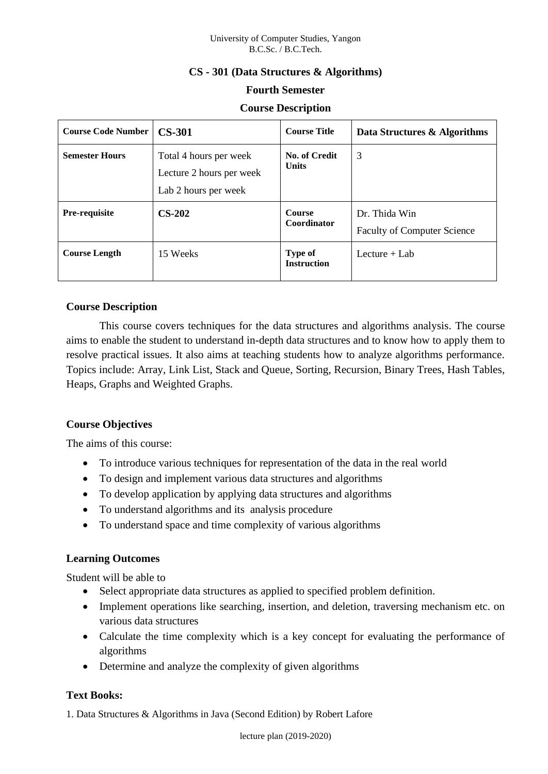# **CS - 301 (Data Structures & Algorithms)**

## **Fourth Semester**

## **Course Description**

| <b>Course Code Number</b> | <b>CS-301</b>                                                              | <b>Course Title</b>                  | Data Structures & Algorithms                        |
|---------------------------|----------------------------------------------------------------------------|--------------------------------------|-----------------------------------------------------|
| <b>Semester Hours</b>     | Total 4 hours per week<br>Lecture 2 hours per week<br>Lab 2 hours per week | No. of Credit<br><b>Units</b>        | 3                                                   |
| <b>Pre-requisite</b>      | $CS-202$                                                                   | <b>Course</b><br>Coordinator         | Dr. Thida Win<br><b>Faculty of Computer Science</b> |
| <b>Course Length</b>      | 15 Weeks                                                                   | <b>Type of</b><br><b>Instruction</b> | Lecture $+$ Lab                                     |

## **Course Description**

This course covers techniques for the data structures and algorithms analysis. The course aims to enable the student to understand in-depth data structures and to know how to apply them to resolve practical issues. It also aims at teaching students how to analyze algorithms performance. Topics include: Array, Link List, Stack and Queue, Sorting, Recursion, Binary Trees, Hash Tables, Heaps, Graphs and Weighted Graphs.

# **Course Objectives**

The aims of this course:

- To introduce various techniques for representation of the data in the real world
- To design and implement various data structures and algorithms
- To develop application by applying data structures and algorithms
- To understand algorithms and its analysis procedure
- To understand space and time complexity of various algorithms

# **Learning Outcomes**

Student will be able to

- Select appropriate data structures as applied to specified problem definition.
- Implement operations like searching, insertion, and deletion, traversing mechanism etc. on various data structures
- Calculate the time complexity which is a key concept for evaluating the performance of algorithms
- Determine and analyze the complexity of given algorithms

# **Text Books:**

1. Data Structures & Algorithms in Java (Second Edition) by Robert Lafore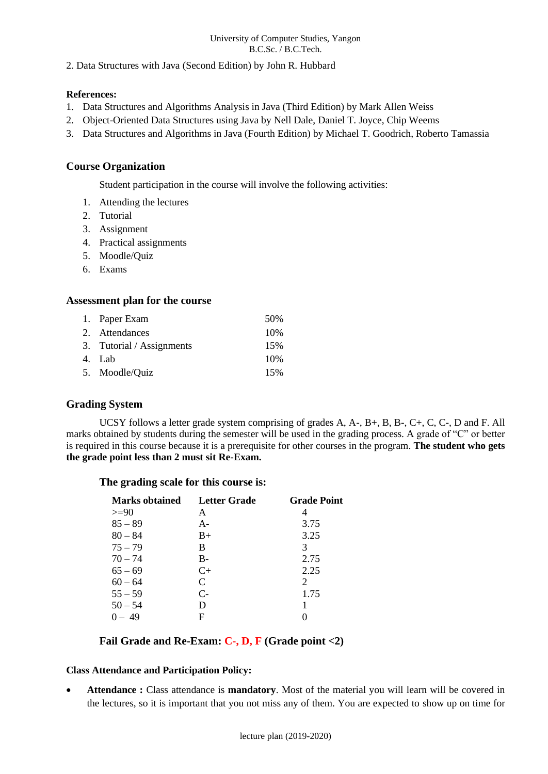2. Data Structures with Java (Second Edition) by John R. Hubbard

### **References:**

- 1. Data Structures and Algorithms Analysis in Java (Third Edition) by Mark Allen Weiss
- 2. Object-Oriented Data Structures using Java by Nell Dale, Daniel T. Joyce, Chip Weems
- 3. Data Structures and Algorithms in Java (Fourth Edition) by Michael T. Goodrich, Roberto Tamassia

### **Course Organization**

Student participation in the course will involve the following activities:

- 1. Attending the lectures
- 2. Tutorial
- 3. Assignment
- 4. Practical assignments
- 5. Moodle/Quiz
- 6. Exams

### **Assessment plan for the course**

| 1. Paper Exam             | 50\% |
|---------------------------|------|
| 2. Attendances            | 10%  |
| 3. Tutorial / Assignments | 15%  |
| 4. Lab                    | 10%  |
| 5. Moodle/Quiz            | 15%  |

### **Grading System**

UCSY follows a letter grade system comprising of grades A, A-, B+, B, B-, C+, C, C-, D and F. All marks obtained by students during the semester will be used in the grading process. A grade of "C" or better is required in this course because it is a prerequisite for other courses in the program. **The student who gets the grade point less than 2 must sit Re-Exam.**

### **The grading scale for this course is:**

| <b>Marks obtained</b> | Letter Grade         | <b>Grade Point</b> |
|-----------------------|----------------------|--------------------|
| $>=90$                | A                    |                    |
| $85 - 89$             | $A -$                | 3.75               |
| $80 - 84$             | $B+$                 | 3.25               |
| $75 - 79$             | В                    | 3                  |
| $70 - 74$             | $B-$                 | 2.75               |
| $65 - 69$             | $C+$                 | 2.25               |
| $60 - 64$             | C                    | 2                  |
| $55 - 59$             | $\mathsf{C}\text{-}$ | 1.75               |
| $50 - 54$             | D                    |                    |
| $0 - 49$              | F                    |                    |

## **Fail Grade and Re-Exam: C-, D, F (Grade point <2)**

#### **Class Attendance and Participation Policy:**

• **Attendance :** Class attendance is **mandatory**. Most of the material you will learn will be covered in the lectures, so it is important that you not miss any of them. You are expected to show up on time for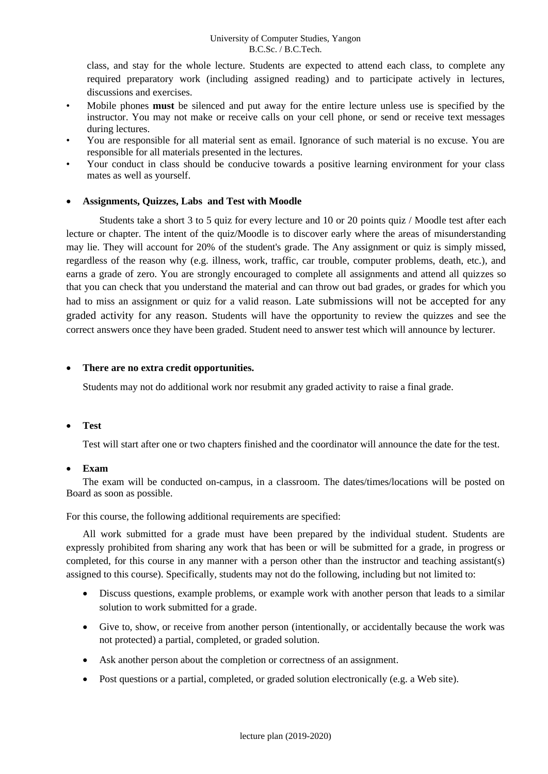class, and stay for the whole lecture. Students are expected to attend each class, to complete any required preparatory work (including assigned reading) and to participate actively in lectures, discussions and exercises.

- Mobile phones **must** be silenced and put away for the entire lecture unless use is specified by the instructor. You may not make or receive calls on your cell phone, or send or receive text messages during lectures.
- You are responsible for all material sent as email. Ignorance of such material is no excuse. You are responsible for all materials presented in the lectures.
- Your conduct in class should be conducive towards a positive learning environment for your class mates as well as yourself.

### • **Assignments, Quizzes, Labs and Test with Moodle**

Students take a short 3 to 5 quiz for every lecture and 10 or 20 points quiz / Moodle test after each lecture or chapter. The intent of the quiz/Moodle is to discover early where the areas of misunderstanding may lie. They will account for 20% of the student's grade. The Any assignment or quiz is simply missed, regardless of the reason why (e.g. illness, work, traffic, car trouble, computer problems, death, etc.), and earns a grade of zero. You are strongly encouraged to complete all assignments and attend all quizzes so that you can check that you understand the material and can throw out bad grades, or grades for which you had to miss an assignment or quiz for a valid reason. Late submissions will not be accepted for any graded activity for any reason. Students will have the opportunity to review the quizzes and see the correct answers once they have been graded. Student need to answer test which will announce by lecturer.

#### • **There are no extra credit opportunities.**

Students may not do additional work nor resubmit any graded activity to raise a final grade.

#### • **Test**

Test will start after one or two chapters finished and the coordinator will announce the date for the test.

#### • **Exam**

The exam will be conducted on-campus, in a classroom. The dates/times/locations will be posted on Board as soon as possible.

For this course, the following additional requirements are specified:

All work submitted for a grade must have been prepared by the individual student. Students are expressly prohibited from sharing any work that has been or will be submitted for a grade, in progress or completed, for this course in any manner with a person other than the instructor and teaching assistant(s) assigned to this course). Specifically, students may not do the following, including but not limited to:

- Discuss questions, example problems, or example work with another person that leads to a similar solution to work submitted for a grade.
- Give to, show, or receive from another person (intentionally, or accidentally because the work was not protected) a partial, completed, or graded solution.
- Ask another person about the completion or correctness of an assignment.
- Post questions or a partial, completed, or graded solution electronically (e.g. a Web site).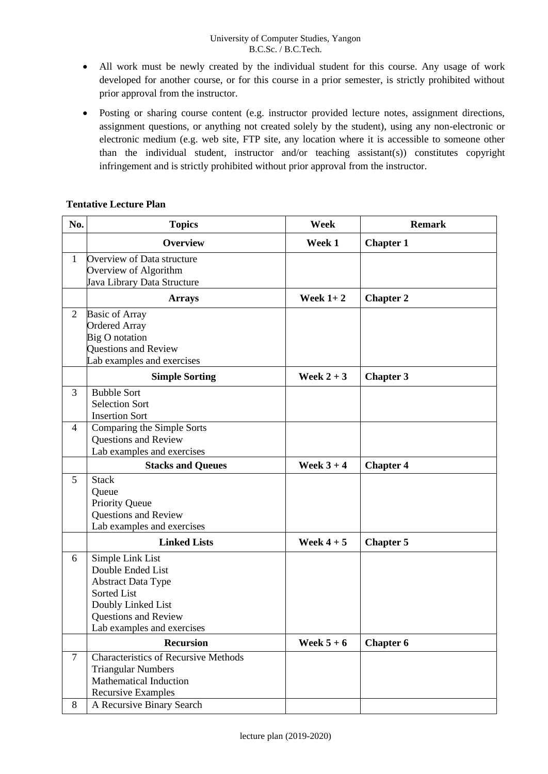- All work must be newly created by the individual student for this course. Any usage of work developed for another course, or for this course in a prior semester, is strictly prohibited without prior approval from the instructor.
- Posting or sharing course content (e.g. instructor provided lecture notes, assignment directions, assignment questions, or anything not created solely by the student), using any non-electronic or electronic medium (e.g. web site, FTP site, any location where it is accessible to someone other than the individual student, instructor and/or teaching assistant(s)) constitutes copyright infringement and is strictly prohibited without prior approval from the instructor.

### **Tentative Lecture Plan**

| No.            | <b>Topics</b>                               | Week         | <b>Remark</b>    |
|----------------|---------------------------------------------|--------------|------------------|
|                | <b>Overview</b>                             | Week 1       | <b>Chapter 1</b> |
| $\mathbf{1}$   | Overview of Data structure                  |              |                  |
|                | Overview of Algorithm                       |              |                  |
|                | Java Library Data Structure                 |              |                  |
|                | <b>Arrays</b>                               | Week $1+2$   | <b>Chapter 2</b> |
| $\overline{2}$ | <b>Basic of Array</b>                       |              |                  |
|                | <b>Ordered Array</b>                        |              |                  |
|                | <b>Big O</b> notation                       |              |                  |
|                | Questions and Review                        |              |                  |
|                | Lab examples and exercises                  |              |                  |
|                | <b>Simple Sorting</b>                       | Week $2+3$   | <b>Chapter 3</b> |
| 3              | <b>Bubble Sort</b>                          |              |                  |
|                | <b>Selection Sort</b>                       |              |                  |
|                | <b>Insertion Sort</b>                       |              |                  |
| 4              | Comparing the Simple Sorts                  |              |                  |
|                | Questions and Review                        |              |                  |
|                | Lab examples and exercises                  |              |                  |
|                | <b>Stacks and Queues</b>                    | Week $3 + 4$ | <b>Chapter 4</b> |
| 5              | <b>Stack</b>                                |              |                  |
|                | Queue                                       |              |                  |
|                | <b>Priority Queue</b>                       |              |                  |
|                | Questions and Review                        |              |                  |
|                | Lab examples and exercises                  |              |                  |
|                | <b>Linked Lists</b>                         | Week $4+5$   | <b>Chapter 5</b> |
| 6              | Simple Link List                            |              |                  |
|                | Double Ended List                           |              |                  |
|                | <b>Abstract Data Type</b>                   |              |                  |
|                | Sorted List                                 |              |                  |
|                | Doubly Linked List                          |              |                  |
|                | Questions and Review                        |              |                  |
|                | Lab examples and exercises                  |              |                  |
|                | <b>Recursion</b>                            | Week $5+6$   | <b>Chapter 6</b> |
| $\tau$         | <b>Characteristics of Recursive Methods</b> |              |                  |
|                | <b>Triangular Numbers</b>                   |              |                  |
|                | <b>Mathematical Induction</b>               |              |                  |
|                | <b>Recursive Examples</b>                   |              |                  |
| 8              | A Recursive Binary Search                   |              |                  |